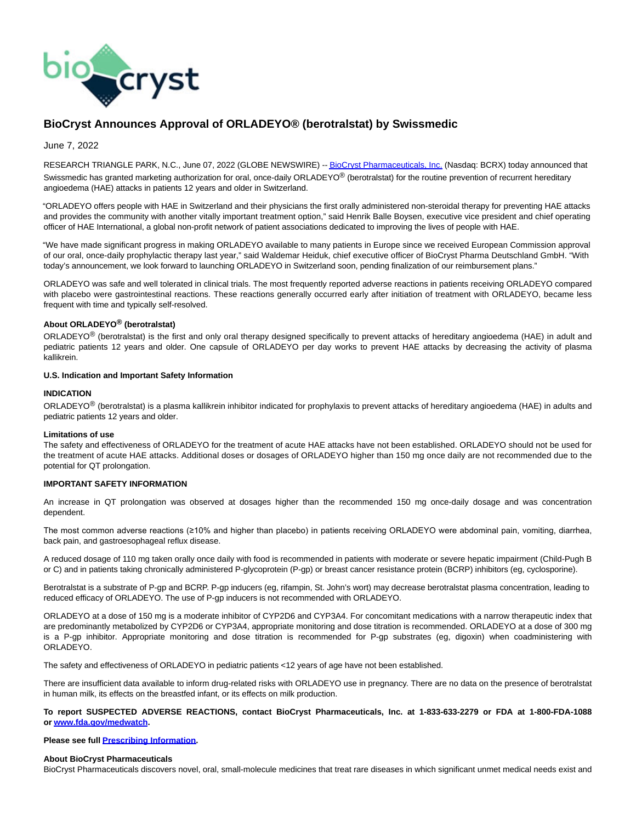

# **BioCryst Announces Approval of ORLADEYO® (berotralstat) by Swissmedic**

June 7, 2022

RESEARCH TRIANGLE PARK, N.C., June 07, 2022 (GLOBE NEWSWIRE) -[- BioCryst Pharmaceuticals, Inc. \(](https://www.globenewswire.com/Tracker?data=JoeK1qAChIM1D6jLIbRcI97jmYN-JNdYQh28TsbYsgC9gogGYgU9lOgiitIKE0DZbRx5ZYpkIbQzbUyZ2lv4EOnqIBFBZXcRhaFJNcUZSZ4=)Nasdaq: BCRX) today announced that Swissmedic has granted marketing authorization for oral, once-daily ORLADEYO® (berotralstat) for the routine prevention of recurrent hereditary angioedema (HAE) attacks in patients 12 years and older in Switzerland.

"ORLADEYO offers people with HAE in Switzerland and their physicians the first orally administered non-steroidal therapy for preventing HAE attacks and provides the community with another vitally important treatment option," said Henrik Balle Boysen, executive vice president and chief operating officer of HAE International, a global non-profit network of patient associations dedicated to improving the lives of people with HAE.

"We have made significant progress in making ORLADEYO available to many patients in Europe since we received European Commission approval of our oral, once-daily prophylactic therapy last year," said Waldemar Heiduk, chief executive officer of BioCryst Pharma Deutschland GmbH. "With today's announcement, we look forward to launching ORLADEYO in Switzerland soon, pending finalization of our reimbursement plans."

ORLADEYO was safe and well tolerated in clinical trials. The most frequently reported adverse reactions in patients receiving ORLADEYO compared with placebo were gastrointestinal reactions. These reactions generally occurred early after initiation of treatment with ORLADEYO, became less frequent with time and typically self-resolved.

## **About ORLADEYO® (berotralstat)**

ORLADEYO® (berotralstat) is the first and only oral therapy designed specifically to prevent attacks of hereditary angioedema (HAE) in adult and pediatric patients 12 years and older. One capsule of ORLADEYO per day works to prevent HAE attacks by decreasing the activity of plasma kallikrein.

## **U.S. Indication and Important Safety Information**

#### **INDICATION**

ORLADEYO<sup>®</sup> (berotralstat) is a plasma kallikrein inhibitor indicated for prophylaxis to prevent attacks of hereditary angioedema (HAE) in adults and pediatric patients 12 years and older.

#### **Limitations of use**

The safety and effectiveness of ORLADEYO for the treatment of acute HAE attacks have not been established. ORLADEYO should not be used for the treatment of acute HAE attacks. Additional doses or dosages of ORLADEYO higher than 150 mg once daily are not recommended due to the potential for QT prolongation.

#### **IMPORTANT SAFETY INFORMATION**

An increase in QT prolongation was observed at dosages higher than the recommended 150 mg once-daily dosage and was concentration dependent.

The most common adverse reactions (≥10% and higher than placebo) in patients receiving ORLADEYO were abdominal pain, vomiting, diarrhea, back pain, and gastroesophageal reflux disease.

A reduced dosage of 110 mg taken orally once daily with food is recommended in patients with moderate or severe hepatic impairment (Child-Pugh B or C) and in patients taking chronically administered P-glycoprotein (P-gp) or breast cancer resistance protein (BCRP) inhibitors (eg, cyclosporine).

Berotralstat is a substrate of P-gp and BCRP. P-gp inducers (eg, rifampin, St. John's wort) may decrease berotralstat plasma concentration, leading to reduced efficacy of ORLADEYO. The use of P-gp inducers is not recommended with ORLADEYO.

ORLADEYO at a dose of 150 mg is a moderate inhibitor of CYP2D6 and CYP3A4. For concomitant medications with a narrow therapeutic index that are predominantly metabolized by CYP2D6 or CYP3A4, appropriate monitoring and dose titration is recommended. ORLADEYO at a dose of 300 mg is a P-gp inhibitor. Appropriate monitoring and dose titration is recommended for P-gp substrates (eg, digoxin) when coadministering with ORLADEYO.

The safety and effectiveness of ORLADEYO in pediatric patients <12 years of age have not been established.

There are insufficient data available to inform drug-related risks with ORLADEYO use in pregnancy. There are no data on the presence of berotralstat in human milk, its effects on the breastfed infant, or its effects on milk production.

## **To report SUSPECTED ADVERSE REACTIONS, contact BioCryst Pharmaceuticals, Inc. at 1-833-633-2279 or FDA at 1-800-FDA-1088 or [www.fda.gov/medwatch.](https://www.globenewswire.com/Tracker?data=hSUgMt342v84Ibp4YlMl-DLT3hGeUfM2gzyXTZp7nd0j-As71SSbPPcz8AkmHNaxVGHPfM6a-yWX15WxvWyJeRlC4cqGEKcRnU0xCtYbSaEwL7aEZOb_egZB_YvHluI6-AkSII3-1aRSHuPaCZjnLW-7LlePmhAqd1jo1hpy97dguUcuqITLfGR_5hbiaDBIYubfoVYScua5X27KVZqh7C5SBRT2U1NvBeIRmt6MptCTpPfMfNcfd7QqN1AgMfGAvXByWqy9-rT5ISwzGJzn8C2daRsODHT1p6l0UimWptvUMkzOEsIMAxH9dLh3Q2cxOeybnlcO8fyVyHgrbEVTz2S07fJrAjYp5Zm1CZ44ctvIYK0D00Chr07SrFz4zpGS)**

#### **Please see full [Prescribing Information.](https://www.globenewswire.com/Tracker?data=Im4TunzHjONIbEocLxE-gOjtFHIb3m8Uu_2zGlT6PCL_L44cXpZo88gDrscxS5A-LjNT4ZE0juVrS5y32O1nWuiXF_yWPgaTNXZUsZIt02Vdkyc9Vx63Pq7v0YmHPDv69W0gky2JIOwABbfkvwp6y1PI4RQENBxNe1u14ak8gQq8ZRJqWJQGHMZtu5bT01FLZHSf4vtEBN7nY5ucEvUcTDVjgQbSue9dwwca3SxSSpczO6FiXXPq11qrCIgxz-65Nn6EvVcYW1xBIrjAENOxstN7O2HX-RqX297ZF0DNUIgqhiVfSZQXNIfblqvghiF5P6XSAljZbmgIA0puAvfFc2fYUaibZviZCtLCsWEF0Z8=)**

#### **About BioCryst Pharmaceuticals**

BioCryst Pharmaceuticals discovers novel, oral, small-molecule medicines that treat rare diseases in which significant unmet medical needs exist and